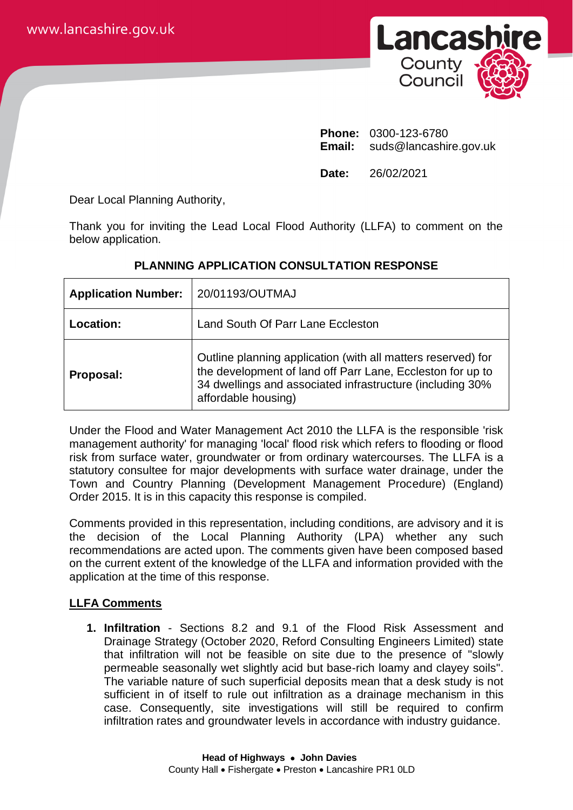

**Phone:** 0300-123-6780 **Email:** suds@lancashire.gov.uk

**Date:** 26/02/2021

Dear Local Planning Authority,

Thank you for inviting the Lead Local Flood Authority (LLFA) to comment on the below application.

| <b>Application Number:</b> | 20/01193/OUTMAJ                                                                                                                                                                                                |
|----------------------------|----------------------------------------------------------------------------------------------------------------------------------------------------------------------------------------------------------------|
| Location:                  | Land South Of Parr Lane Eccleston                                                                                                                                                                              |
| Proposal:                  | Outline planning application (with all matters reserved) for<br>the development of land off Parr Lane, Eccleston for up to<br>34 dwellings and associated infrastructure (including 30%<br>affordable housing) |

# **PLANNING APPLICATION CONSULTATION RESPONSE**

Under the Flood and Water Management Act 2010 the LLFA is the responsible 'risk management authority' for managing 'local' flood risk which refers to flooding or flood risk from surface water, groundwater or from ordinary watercourses. The LLFA is a statutory consultee for major developments with surface water drainage, under the Town and Country Planning (Development Management Procedure) (England) Order 2015. It is in this capacity this response is compiled.

Comments provided in this representation, including conditions, are advisory and it is the decision of the Local Planning Authority (LPA) whether any such recommendations are acted upon. The comments given have been composed based on the current extent of the knowledge of the LLFA and information provided with the application at the time of this response.

## **LLFA Comments**

**1. Infiltration** - Sections 8.2 and 9.1 of the Flood Risk Assessment and Drainage Strategy (October 2020, Reford Consulting Engineers Limited) state that infiltration will not be feasible on site due to the presence of "slowly permeable seasonally wet slightly acid but base-rich loamy and clayey soils". The variable nature of such superficial deposits mean that a desk study is not sufficient in of itself to rule out infiltration as a drainage mechanism in this case. Consequently, site investigations will still be required to confirm infiltration rates and groundwater levels in accordance with industry guidance.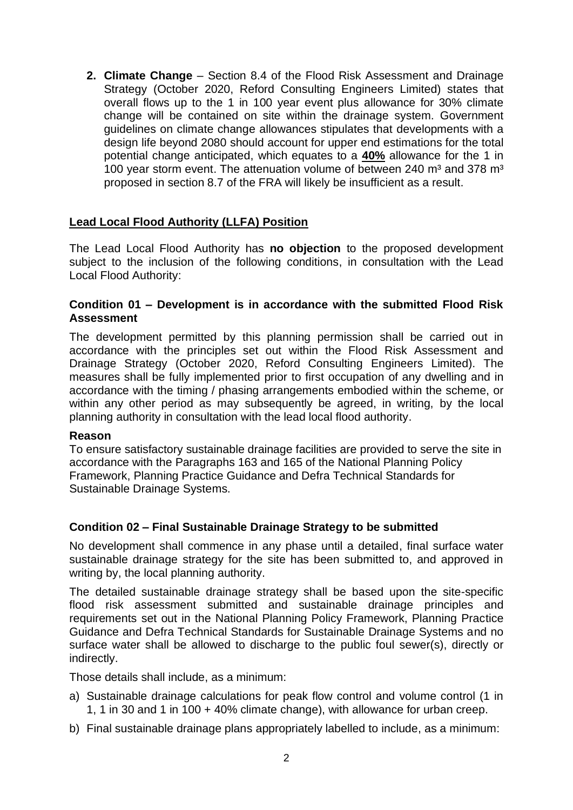**2. Climate Change** – Section 8.4 of the Flood Risk Assessment and Drainage Strategy (October 2020, Reford Consulting Engineers Limited) states that overall flows up to the 1 in 100 year event plus allowance for 30% climate change will be contained on site within the drainage system. Government guidelines on climate change allowances stipulates that developments with a design life beyond 2080 should account for upper end estimations for the total potential change anticipated, which equates to a **40%** allowance for the 1 in 100 year storm event. The attenuation volume of between 240  $m<sup>3</sup>$  and 378  $m<sup>3</sup>$ proposed in section 8.7 of the FRA will likely be insufficient as a result.

### **Lead Local Flood Authority (LLFA) Position**

The Lead Local Flood Authority has **no objection** to the proposed development subject to the inclusion of the following conditions, in consultation with the Lead Local Flood Authority:

#### **Condition 01 – Development is in accordance with the submitted Flood Risk Assessment**

The development permitted by this planning permission shall be carried out in accordance with the principles set out within the Flood Risk Assessment and Drainage Strategy (October 2020, Reford Consulting Engineers Limited). The measures shall be fully implemented prior to first occupation of any dwelling and in accordance with the timing / phasing arrangements embodied within the scheme, or within any other period as may subsequently be agreed, in writing, by the local planning authority in consultation with the lead local flood authority.

#### **Reason**

To ensure satisfactory sustainable drainage facilities are provided to serve the site in accordance with the Paragraphs 163 and 165 of the National Planning Policy Framework, Planning Practice Guidance and Defra Technical Standards for Sustainable Drainage Systems.

#### **Condition 02 – Final Sustainable Drainage Strategy to be submitted**

No development shall commence in any phase until a detailed, final surface water sustainable drainage strategy for the site has been submitted to, and approved in writing by, the local planning authority.

The detailed sustainable drainage strategy shall be based upon the site-specific flood risk assessment submitted and sustainable drainage principles and requirements set out in the National Planning Policy Framework, Planning Practice Guidance and Defra Technical Standards for Sustainable Drainage Systems and no surface water shall be allowed to discharge to the public foul sewer(s), directly or indirectly.

Those details shall include, as a minimum:

- a) Sustainable drainage calculations for peak flow control and volume control (1 in 1, 1 in 30 and 1 in 100 + 40% climate change), with allowance for urban creep.
- b) Final sustainable drainage plans appropriately labelled to include, as a minimum: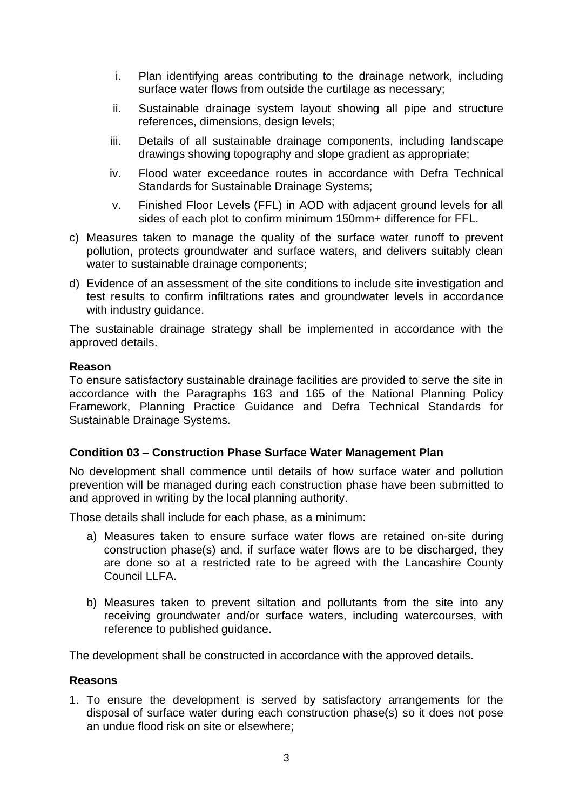- i. Plan identifying areas contributing to the drainage network, including surface water flows from outside the curtilage as necessary;
- ii. Sustainable drainage system layout showing all pipe and structure references, dimensions, design levels;
- iii. Details of all sustainable drainage components, including landscape drawings showing topography and slope gradient as appropriate;
- iv. Flood water exceedance routes in accordance with Defra Technical Standards for Sustainable Drainage Systems;
- v. Finished Floor Levels (FFL) in AOD with adjacent ground levels for all sides of each plot to confirm minimum 150mm+ difference for FFL.
- c) Measures taken to manage the quality of the surface water runoff to prevent pollution, protects groundwater and surface waters, and delivers suitably clean water to sustainable drainage components;
- d) Evidence of an assessment of the site conditions to include site investigation and test results to confirm infiltrations rates and groundwater levels in accordance with industry guidance.

The sustainable drainage strategy shall be implemented in accordance with the approved details.

#### **Reason**

To ensure satisfactory sustainable drainage facilities are provided to serve the site in accordance with the Paragraphs 163 and 165 of the National Planning Policy Framework, Planning Practice Guidance and Defra Technical Standards for Sustainable Drainage Systems.

#### **Condition 03 – Construction Phase Surface Water Management Plan**

No development shall commence until details of how surface water and pollution prevention will be managed during each construction phase have been submitted to and approved in writing by the local planning authority.

Those details shall include for each phase, as a minimum:

- a) Measures taken to ensure surface water flows are retained on-site during construction phase(s) and, if surface water flows are to be discharged, they are done so at a restricted rate to be agreed with the Lancashire County Council LLFA.
- b) Measures taken to prevent siltation and pollutants from the site into any receiving groundwater and/or surface waters, including watercourses, with reference to published guidance.

The development shall be constructed in accordance with the approved details.

#### **Reasons**

1. To ensure the development is served by satisfactory arrangements for the disposal of surface water during each construction phase(s) so it does not pose an undue flood risk on site or elsewhere;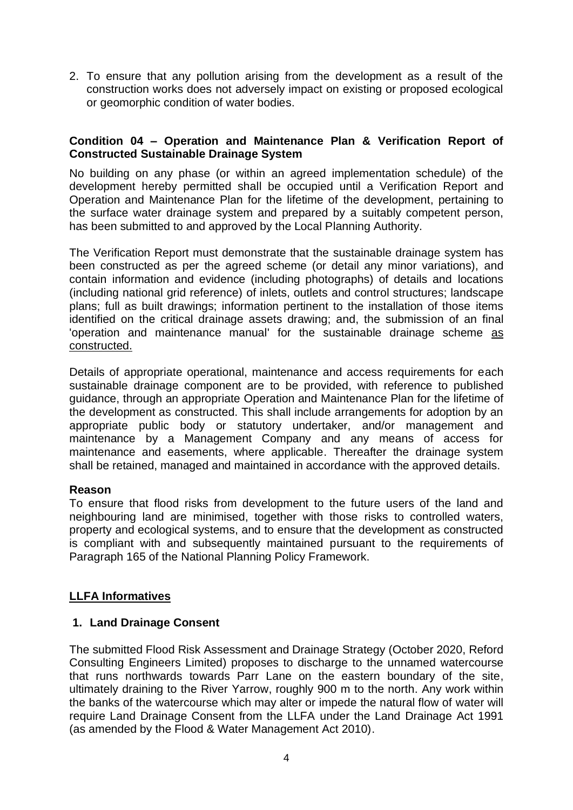2. To ensure that any pollution arising from the development as a result of the construction works does not adversely impact on existing or proposed ecological or geomorphic condition of water bodies.

### **Condition 04 – Operation and Maintenance Plan & Verification Report of Constructed Sustainable Drainage System**

No building on any phase (or within an agreed implementation schedule) of the development hereby permitted shall be occupied until a Verification Report and Operation and Maintenance Plan for the lifetime of the development, pertaining to the surface water drainage system and prepared by a suitably competent person, has been submitted to and approved by the Local Planning Authority.

The Verification Report must demonstrate that the sustainable drainage system has been constructed as per the agreed scheme (or detail any minor variations), and contain information and evidence (including photographs) of details and locations (including national grid reference) of inlets, outlets and control structures; landscape plans; full as built drawings; information pertinent to the installation of those items identified on the critical drainage assets drawing; and, the submission of an final 'operation and maintenance manual' for the sustainable drainage scheme as constructed.

Details of appropriate operational, maintenance and access requirements for each sustainable drainage component are to be provided, with reference to published guidance, through an appropriate Operation and Maintenance Plan for the lifetime of the development as constructed. This shall include arrangements for adoption by an appropriate public body or statutory undertaker, and/or management and maintenance by a Management Company and any means of access for maintenance and easements, where applicable. Thereafter the drainage system shall be retained, managed and maintained in accordance with the approved details.

#### **Reason**

To ensure that flood risks from development to the future users of the land and neighbouring land are minimised, together with those risks to controlled waters, property and ecological systems, and to ensure that the development as constructed is compliant with and subsequently maintained pursuant to the requirements of Paragraph 165 of the National Planning Policy Framework.

## **LLFA Informatives**

## **1. Land Drainage Consent**

The submitted Flood Risk Assessment and Drainage Strategy (October 2020, Reford Consulting Engineers Limited) proposes to discharge to the unnamed watercourse that runs northwards towards Parr Lane on the eastern boundary of the site, ultimately draining to the River Yarrow, roughly 900 m to the north. Any work within the banks of the watercourse which may alter or impede the natural flow of water will require Land Drainage Consent from the LLFA under the Land Drainage Act 1991 (as amended by the Flood & Water Management Act 2010).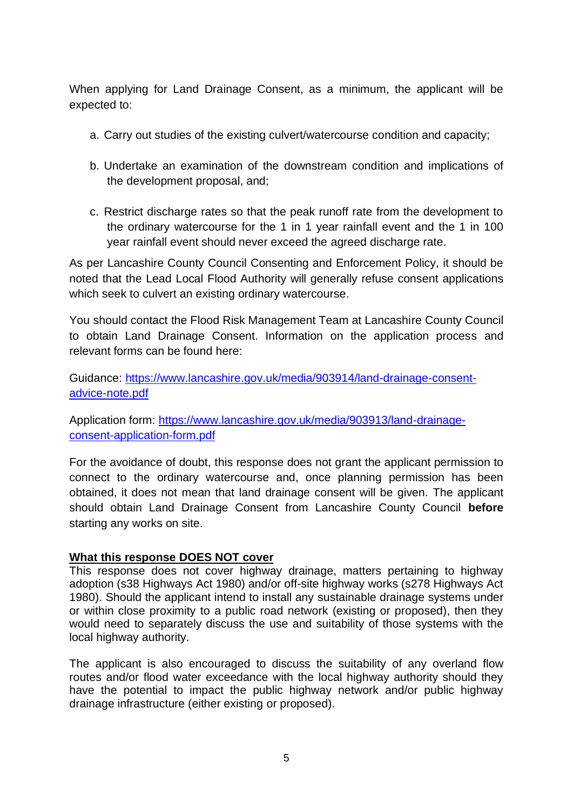When applying for Land Drainage Consent, as a minimum, the applicant will be expected to:

- a. Carry out studies of the existing culvert/watercourse condition and capacity;
- b. Undertake an examination of the downstream condition and implications of the development proposal, and;
- c. Restrict discharge rates so that the peak runoff rate from the development to the ordinary watercourse for the 1 in 1 year rainfall event and the 1 in 100 year rainfall event should never exceed the agreed discharge rate.

As per Lancashire County Council Consenting and Enforcement Policy, it should be noted that the Lead Local Flood Authority will generally refuse consent applications which seek to culvert an existing ordinary watercourse.

You should contact the Flood Risk Management Team at Lancashire County Council to obtain Land Drainage Consent. Information on the application process and relevant forms can be found here:

Guidance: [https://www.lancashire.gov.uk/media/903914/land-drainage-consent](https://www.lancashire.gov.uk/media/903914/land-drainage-consent-advice-note.pdf)[advice-note.pdf](https://www.lancashire.gov.uk/media/903914/land-drainage-consent-advice-note.pdf)

Application form: [https://www.lancashire.gov.uk/media/903913/land-drainage](https://www.lancashire.gov.uk/media/903913/land-drainage-consent-application-form.pdf)[consent-application-form.pdf](https://www.lancashire.gov.uk/media/903913/land-drainage-consent-application-form.pdf)

For the avoidance of doubt, this response does not grant the applicant permission to connect to the ordinary watercourse and, once planning permission has been obtained, it does not mean that land drainage consent will be given. The applicant should obtain Land Drainage Consent from Lancashire County Council **before** starting any works on site.

#### **What this response DOES NOT cover**

This response does not cover highway drainage, matters pertaining to highway adoption (s38 Highways Act 1980) and/or off-site highway works (s278 Highways Act 1980). Should the applicant intend to install any sustainable drainage systems under or within close proximity to a public road network (existing or proposed), then they would need to separately discuss the use and suitability of those systems with the local highway authority.

The applicant is also encouraged to discuss the suitability of any overland flow routes and/or flood water exceedance with the local highway authority should they have the potential to impact the public highway network and/or public highway drainage infrastructure (either existing or proposed).